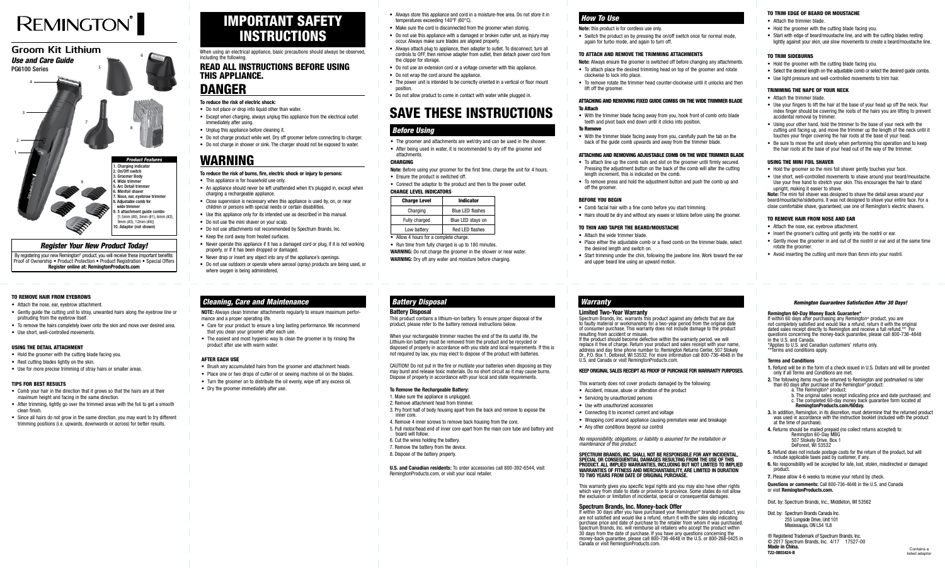#### *Register Your New Product Today!*

By registering your new Remington<sup>®</sup> product, you will receive these important benefits: Proof of Ownership • Product Protection • Product Registration • Special Offers **Register online at: RemingtonProducts.com**

# IMPORTANT SAFETY INSTRUCTIONS

When using an electrical appliance, basic precautions should always be observed, including the following.

## READ ALL INSTRUCTIONS BEFORE USING THIS APPLIANCE.

# DANGER

- **To reduce the risk of electric shock:**
- Do not place or drop into liquid other than water.
- Except when charging, always unplug this appliance from the electrical outlet immediately after using.
- Unplug this appliance before cleaning it.
- Do not charge product while wet. Dry off groomer before connecting to charger.
- Do not charge in shower or sink. The charger should not be exposed to water.

# WARNING

- This appliance is for household use only.
- An appliance should never be left unattended when it's plugged in, except when charging a rechargeable appliance.
- Close supervision is necessary when this appliance is used by, on, or near children or persons with special needs or certain disabilities.
- Use this appliance only for its intended use as described in this manual.
- Do not use the mini shaver on your scalp.
- Do not use attachments not recommended by Spectrum Brands, Inc.
- Keep the cord away from heated surfaces.
- Never operate this appliance if it has a damaged cord or plug, if it is not working properly, or if it has been dropped or damaged.
- Never drop or insert any object into any of the appliance's openings.
- Do not use outdoors or operate where aerosol (spray) products are being used, or where oxygen is being administered.

#### **To reduce the risk of burns, fire, electric shock or injury to persons:**

# **REMINGTON**



If the product should become defective within the warranty period, we will replace it free of charge. Return your product and sales receipt with your name, address and day time phone number to: Remington Returns Center, 507 Stokely Dr., P.O. Box 1, Deforest, WI 53532. For more information call 800-736-4648 in the U.S. and Canada or visit RemingtonProducts.com.

- Always store this appliance and cord in a moisture-free area. Do not store it in temperatures exceeding 140°F (60°C).
- Make sure the cord is disconnected from the groomer when storing.
- Do not use this appliance with a damaged or broken cutter unit, as injury may occur. Always make sure blades are aligned properly.
- Always attach plug to appliance, then adapter to outlet. To disconnect, turn all controls to OFF, then remove adapter from outlet, then detach power cord from the clipper for storage.
- Do not use an extension cord or a voltage converter with this appliance.
- Do not wrap the cord around the appliance.
- The power unit is intended to be correctly oriented in a vertical or floor mount position.
- Do not allow product to come in contact with water while plugged in.

# SAVE THESE INSTRUCTIONS

#### **Limited Two-Year Warranty**

Spectrum Brands, Inc. warrants this product against any defects that are due to faulty material or workmanship for a two-year period from the original date of consumer purchase. This warranty does not include damage to the product resulting from accident or misuse.

#### **KEEP ORIGINAL SALES RECEIPT AS PROOF OF PURCHASE FOR WARRANTY PURPOSES.**

This warranty does not cover products damaged by the following:

- Accident, misuse, abuse or alteration of the product
- Servicing by unauthorized persons
- Use with unauthorized accessories
- Connecting it to incorrect current and voltage
- Wrapping cord around appliance causing premature wear and breakage • Any other conditions beyond our control

*No responsibility, obligations, or liability is assumed for the installation or maintenance of this product.*

**SPECTRUM BRANDS, INC. SHALL NOT BE RESPONSIBLE FOR ANY INCIDENTAL, SPECIAL OR CONSEQUENTIAL DAMAGES RESULTING FROM THE USE OF THIS PRODUCT. ALL IMPLIED WARRANTIES, INCLUDING BUT NOT LIMITED TO IMPLIED WARRANTIES OF FITNESS AND MERCHANTABILITY, ARE LIMITED IN DURATION TO TWO YEARS FROM DATE OF ORIGINAL PURCHASE.**

**Note:** Before using your groomer for the first time, charge the unit for 4 hours. • Ensure the product is switched off

- Connect the adaptor to the product and then to the power outlet.
- CHARGE LEVEL INDICATORS

This warranty gives you specific legal rights and you may also have other rights which vary from state to state or province to province. Some states do not allow the exclusion or limitation of incidental, special or consequential damages.

• Switch the product on by pressing the on/off switch once for normal mode, again for turbo mode, and again to turn off.

#### **Spectrum Brands, Inc. Money-back Offer**

If within 30 days after you have purchased your Remington® branded product, you are not satisfied and would like a refund, return it with the sales slip indicating purchase price and date of purchase to the retailer from whom it was purchased. Spectrum Brands, Inc. will reimburse all retailers who accept the product within 30 days from the date of purchase. If you have any questions concerning the money-back guarantee, please call 800-736-4648 in the U.S. or 800-268-0425 in Canada or visit RemingtonProducts.com.

## *How To Use* To TRIM EDGE OF BEARD OR MOUSTACHE

#### *Remington Guarantees Satisfaction After 30 Days!*

#### **Remington 60-Day Money Back Guarantee\***

- 
- Place either the adjustable comb or a fixed comb on the trimmer blade, select the desired length and switch on

- 
- 
- 
- 
- 
- 
- 

If within 60 days after purchasing any Remington® product, you are not completely satisfied and would like a refund, return it with the original dated sales receipt directly to Remington and receive a full refund.\*\* For questions concerning the money-back guarantee, please call 800-736-4648 in the U.S. and Canada.

\*Applies to U.S. and Canadian customers' returns only.

\*\*Terms and conditions apply.

#### **Terms and Conditions**

- **1.** Refund will be in the form of a check issued in U.S. Dollars and will be provided only if all Terms and Conditions are met.
- **2.** The following items must be returned to Remington and postmarked no later than 60 days after purchase of the Remington® product:
	- a. The Remington® product;
	- b. The original sales receipt indicating price and date purchased; and c. The completed 60-day money back guarantee form located at **RemingtonProducts.com/60day.**
	-
- **3.** In addition, Remington, in its discretion, must determine that the returned product was used in accordance with the instruction booklet (included with the product at the time of purchase).
- **4.** Returns should be mailed prepaid (no collect returns accepted) to:
	- Remington 60-Day MBG
	- 507 Stokely Drive, Box 1 DeForest, WI 53532
- **5.** Refund does not include postage costs for the return of the product, but will include applicable taxes paid by customer, if any.
- **6.** No responsibility will be accepted for late, lost, stolen, misdirected or damaged product.
- **7.** Please allow 4-6 weeks to receive your refund by check.
- Attach the nose, ear, evebrow attachment
- Gently guide the cutting unit to stray, unwanted hairs along the eyebrow line or protruding from the eyebrow itself.
- To remove the hairs completely lower onto the skin and move over desired area.
- Use short, well-controlled movements.

**Questions or comments:** Call 800-736-4648 in the U.S. and Canada or visit **RemingtonProducts.com.**

**NOTE:** Always clean trimmer attachments regularly to ensure maximum performance and a proper operating life.

Dist. by: Spectrum Brands, Inc., Middleton, WI 53562

Dist. by: Spectrum Brands Canada Inc. 255 Longside Drive, Unit 101 Mississauga, ON L54 1L8

® Registered Trademark of Spectrum Brands, Inc. © 2017 Spectrum Brands, Inc. 4/17 17527-00 **Made in China. T22-0003424-B**

#### Battery Disposal

This product contains a lithium-ion battery. To ensure proper disposal of the product, please refer to the battery removal instructions below.

When your rechargeable trimmer reaches the end of the its useful life, the Lithium-Ion battery must be removed from the product and be recycled or disposed of properly in accordance with you state and local requirements. If this is not required by law, you may elect to dispose of the product with batteries.

CAUTION! Do not put in the fire or mutilate your batteries when disposing as they may burst and release toxic materials. Do no short circuit as it may cause burns. Dispose of properly in accordance with your local and state requirements.

#### **To Remove the Rechargeable Battery:**

- 1. Make sure the appliance is unplugged.
- 2. Remove attachment head from trimmer.
- 3. Pry front half of body housing apart from the back and remove to expose the inner core.
- 4. Remove 4 inner screws to remove back housing from the core. 5. Pull motor/head end of inner core apart from the main core tube and battery and
- board will follow.
- 6. Cut the wires holding the battery. 7. Remove the battery from the device.
- 8. Dispose of the battery properly.

U.S. and Canadian residents: To order accessories call 800-392-6544, visit RemingtonProducts.com, or visit your local retailer.

- The groomer and attachments are wet/dry and can be used in the shower.
- After being used in water, it is recommended to dry off the groomer and attachments.

#### CHARGING

| .<br>JL LLVLL INDIVATVIIJ |                         |  |
|---------------------------|-------------------------|--|
| <b>Charge Level</b>       | <b>Indicator</b>        |  |
| Charging                  | <b>Blue LED flashes</b> |  |
| Fully charged             | Blue LED stays on       |  |
| Low battery               | <b>Red LED flashes</b>  |  |

• Allow 4 hours for a complete charge.

• Run time from fully charged is up to 180 minutes. **WARNING:** Do not charge the groomer in the shower or near water.

**WARNING:** Dry off any water and moisture before charging.

## *Battery Disposal* Marranty Warranty

### *Before Using*

#### **Note:** this product is for cordless use only.

#### TO ATTACH AND REMOVE THE TRIMMING ATTACHMENTS

**Note:** Always ensure the groomer is switched off before changing any attachments. • To attach place the desired trimming head on top of the groomer and rotate clockwise to lock into place.

• To remove rotate the trimmer head counter-clockwise until it unlocks and then lift off the groomer.

#### ATTACHING AND REMOVING FIXED GUIDE COMBS ON THE WIDE TRIMMER BLADE To Attach

• With the trimmer blade facing away from you, hook front of comb onto blade teeth and pivot back end down until it clicks into position.

#### To Remove

• With the trimmer blade facing away from you, carefully push the tab on the back of the guide comb upwards and away from the trimmer blade.

#### ATTACHING AND REMOVING ADJUSTABLE COMB ON THE WIDE TRIMMER BLADE

• To attach line up the comb rails and slot on the groomer until firmly secured. Pressing the adjustment button on the back of the comb will alter the cutting length increment, this is indicated on the comb.

• To remove press and hold the adjustment button and push the comb up and off the groomer.

#### BEFORE YOU BEGIN

• Comb facial hair with a fine comb before you start trimming.

• Hairs should be dry and without any waxes or lotions before using the groomer.

#### TO THIN AND TAPER THE BEARD/MOUSTACHE

• Attach the wide trimmer blade.

• Start trimming under the chin, following the jawbone line. Work toward the ear and upper beard line using an upward motion.

- Attach the trimmer blade.
- Hold the groomer with the cutting blade facing you.
- Start with edge of beard/moustache line, and with the cutting blades resting lightly against your skin, use slow movements to create a beard/moustache line.

#### TO TRIM SIDEBURNS

- Hold the groomer with the cutting blade facing you.
- Select the desired length on the adjustable comb or select the desired quide combs.
- Use light pressure and well-controlled movements to trim hair.

#### TRIMMING THE NAPE OF YOUR NECK

- Attach the trimmer blade.
- Use your fingers to lift the hair at the base of your head up off the neck. Your index finger should be covering the roots of the hairs you are lifting to prevent accidental removal by trimmer
- Using your other hand, hold the trimmer to the base of your neck with the cutting unit facing up, and move the trimmer up the length of the neck until it touches your finger covering the hair roots at the base of your head.
- Be sure to move the unit slowly when performing this operation and to keep the hair roots at the base of your head out of the way of the trimmer.

#### USING THE MINI FOIL SHAVER

- Hold the groomer so the mini foil shaver gently touches your face.
- Use short, well-controlled movements to shave around your beard/moustache. Use your free hand to stretch your skin. This encourages the hair to stand upright, making it easier to shave.

Note: The mini foil shaver was designed to shave the detail areas around your beard/moustache/sideburns. It was not designed to shave your entire face. For a close comfortable shave, guaranteed, use one of Remington's electric shavers.

#### TO REMOVE HAIR FROM NOSE AND EAR

- Attach the nose, ear, eyebrow attachment.
- Insert the groomer's cutting unit gently into the nostril or ear.
- Gently move the groomer in and out of the nostril or ear and at the same time rotate the groomer.
- Avoid inserting the cutting unit more than 6mm into your nostril.

#### TO REMOVE HAIR FROM EYEBROWS

#### USING THE DETAIL ATTACHMENT

- Hold the groomer with the cutting blade facing you.
- Rest cutting blades lightly on the skin.
- Use for more precise trimming of stray hairs or smaller areas.

#### TIPS FOR BEST RESULTS

- Comb your hair in the direction that it grows so that the hairs are at their maximum height and facing in the same direction.
- After trimming, lightly go over the trimmed areas with the foil to get a smooth clean finish.
- Since all hairs do not grow in the same direction, you may want to try different trimming positions (i.e. upwards, downwards or across) for better results.
- Care for your product to ensure a long lasting performance. We recommend that you clean your groomer after each use.
- The easiest and most hygienic way to clean the groomer is by rinsing the product after use with warm water.

#### AFTER EACH USE

- Brush any accumulated hairs from the groomer and attachment heads.
- Place one or two drops of cutter oil or sewing machine oil on the blades.
- Turn the groomer on to distribute the oil evenly, wipe off any excess oil.
- Dry the groomer immediately after use.

### *Cleaning, Care and Maintenance*